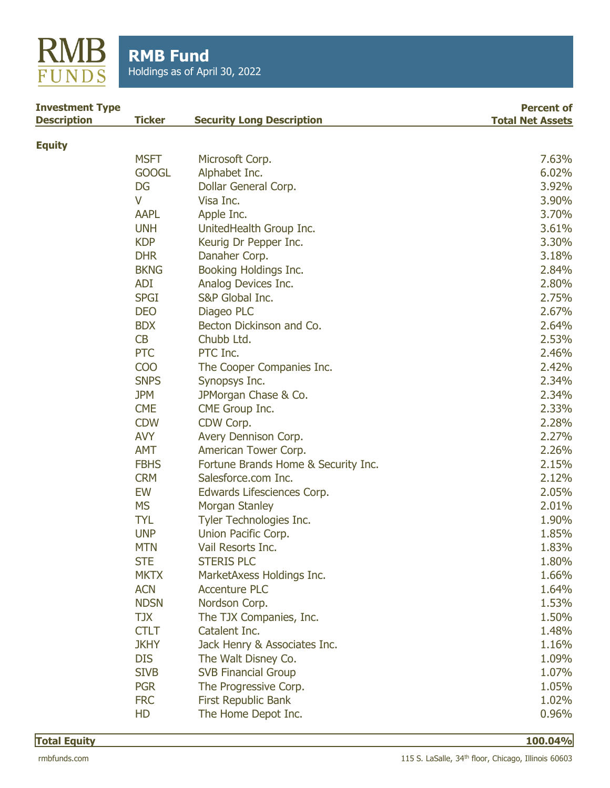

| <b>Investment Type</b><br><b>Description</b> | <b>Ticker</b> | <b>Security Long Description</b>    | <b>Percent of</b><br><b>Total Net Assets</b> |
|----------------------------------------------|---------------|-------------------------------------|----------------------------------------------|
|                                              |               |                                     |                                              |
| <b>Equity</b>                                | <b>MSFT</b>   | Microsoft Corp.                     | 7.63%                                        |
|                                              | <b>GOOGL</b>  | Alphabet Inc.                       | 6.02%                                        |
|                                              | DG            | Dollar General Corp.                | 3.92%                                        |
|                                              | V             | Visa Inc.                           | 3.90%                                        |
|                                              | <b>AAPL</b>   | Apple Inc.                          | 3.70%                                        |
|                                              | <b>UNH</b>    | UnitedHealth Group Inc.             | 3.61%                                        |
|                                              | <b>KDP</b>    | Keurig Dr Pepper Inc.               | 3.30%                                        |
|                                              | <b>DHR</b>    | Danaher Corp.                       | 3.18%                                        |
|                                              | <b>BKNG</b>   | Booking Holdings Inc.               | 2.84%                                        |
|                                              | <b>ADI</b>    | Analog Devices Inc.                 | 2.80%                                        |
|                                              | <b>SPGI</b>   | S&P Global Inc.                     | 2.75%                                        |
|                                              | <b>DEO</b>    | Diageo PLC                          | 2.67%                                        |
|                                              | <b>BDX</b>    | Becton Dickinson and Co.            | 2.64%                                        |
|                                              | CB            | Chubb Ltd.                          | 2.53%                                        |
|                                              | <b>PTC</b>    | PTC Inc.                            | 2.46%                                        |
|                                              | <b>COO</b>    | The Cooper Companies Inc.           | 2.42%                                        |
|                                              | <b>SNPS</b>   | Synopsys Inc.                       | 2.34%                                        |
|                                              | <b>JPM</b>    | JPMorgan Chase & Co.                | 2.34%                                        |
|                                              | <b>CME</b>    | CME Group Inc.                      | 2.33%                                        |
|                                              | <b>CDW</b>    | CDW Corp.                           | 2.28%                                        |
|                                              | <b>AVY</b>    | Avery Dennison Corp.                | 2.27%                                        |
|                                              | <b>AMT</b>    | American Tower Corp.                | 2.26%                                        |
|                                              | <b>FBHS</b>   | Fortune Brands Home & Security Inc. | 2.15%                                        |
|                                              | <b>CRM</b>    | Salesforce.com Inc.                 | 2.12%                                        |
|                                              | EW            | Edwards Lifesciences Corp.          | 2.05%                                        |
|                                              | <b>MS</b>     | <b>Morgan Stanley</b>               | 2.01%                                        |
|                                              | <b>TYL</b>    | Tyler Technologies Inc.             | 1.90%                                        |
|                                              | <b>UNP</b>    | Union Pacific Corp.                 | 1.85%                                        |
|                                              | <b>MTN</b>    | Vail Resorts Inc.                   | 1.83%                                        |
|                                              | <b>STE</b>    | <b>STERIS PLC</b>                   | 1.80%                                        |
|                                              | <b>MKTX</b>   | MarketAxess Holdings Inc.           | 1.66%                                        |
|                                              | <b>ACN</b>    | <b>Accenture PLC</b>                | 1.64%                                        |
|                                              | <b>NDSN</b>   | Nordson Corp.                       | 1.53%                                        |
|                                              | <b>TJX</b>    | The TJX Companies, Inc.             | 1.50%                                        |
|                                              | <b>CTLT</b>   | Catalent Inc.                       | 1.48%                                        |
|                                              | <b>JKHY</b>   | Jack Henry & Associates Inc.        | 1.16%                                        |
|                                              | <b>DIS</b>    | The Walt Disney Co.                 | 1.09%                                        |
|                                              | <b>SIVB</b>   | <b>SVB Financial Group</b>          | 1.07%                                        |
|                                              | <b>PGR</b>    | The Progressive Corp.               | 1.05%                                        |
|                                              | <b>FRC</b>    | First Republic Bank                 | 1.02%                                        |
|                                              | HD            | The Home Depot Inc.                 | 0.96%                                        |